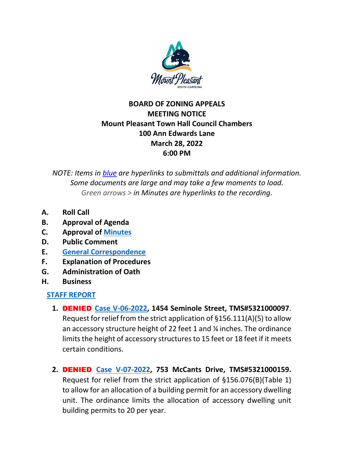

## **BOARD OF ZONING APPEALS MEETING NOTICE Mount Pleasant Town Hall Council Chambers 100 Ann Edwards Lane March 28, 2022 6:00 PM**

*NOTE: Items in blue are hyperlinks to submittals and additional information. Some documents are large and may take a few moments to load. Green arrows > in Minutes are hyperlinks to the recording.*

- **A. Roll Call**
- **B. Approval of Agenda**
- **C. Approval of [Minutes](https://www.tompsc.com/AgendaCenter/ViewFile/Minutes/_02282022-1147)**
- **D. Public Comment**
- **E. [General Correspondence](https://www.tompsc.com/DocumentCenter/View/41000/Correspondance-32822)**
- **F. Explanation of Procedures**
- **G. Administration of Oath**
- **H. Business**

### **[STAFF REPORT](https://www.tompsc.com/DocumentCenter/View/40707/BOZA-Staff-Report-3282022)**

- **1.** DENIED **[Case V-06-2022,](https://www.tompsc.com/DocumentCenter/View/40852/V-06-22-1454-Seminole-St-5321000097-32822) 1454 Seminole Street, TMS#5321000097**. Request for relief from the strict application of §156.111(A)(5) to allow an accessory structure height of 22 feet 1 and ¼ inches. The ordinance limits the height of accessory structures to 15 feet or 18 feet if it meets certain conditions.
- **2.** DENIED **[Case V-07-2022,](https://www.tompsc.com/DocumentCenter/View/40853/V-07-22-753-McCants-Dr-5321000159-32822) 753 McCants Drive, TMS#5321000159.**  Request for relief from the strict application of §156.076(B)(Table 1) to allow for an allocation of a building permit for an accessory dwelling unit. The ordinance limits the allocation of accessory dwelling unit building permits to 20 per year.